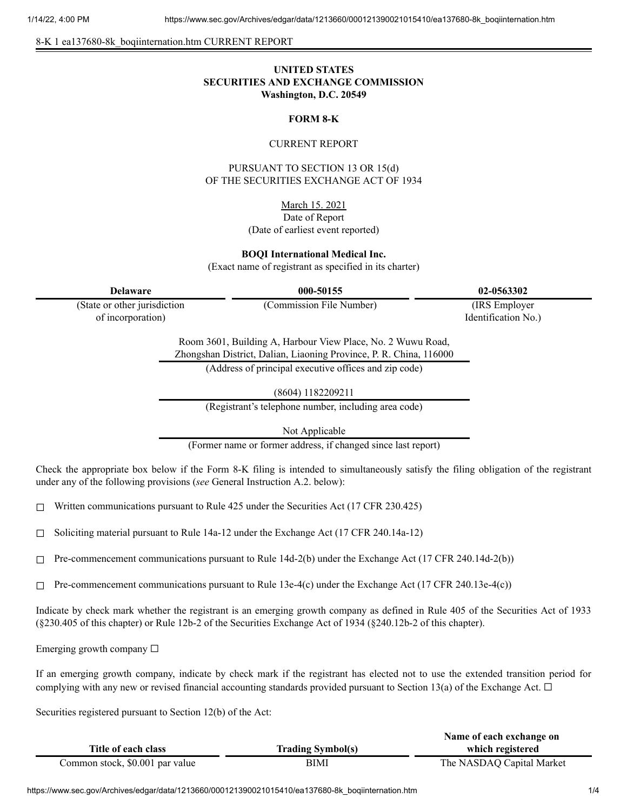8-K 1 ea137680-8k\_boqiinternation.htm CURRENT REPORT

# **UNITED STATES SECURITIES AND EXCHANGE COMMISSION Washington, D.C. 20549**

## **FORM 8-K**

### CURRENT REPORT

PURSUANT TO SECTION 13 OR 15(d) OF THE SECURITIES EXCHANGE ACT OF 1934

March 15. 2021

## Date of Report (Date of earliest event reported)

**BOQI International Medical Inc.**

(Exact name of registrant as specified in its charter)

**Delaware 000-50155 02-0563302**

(State or other jurisdiction of incorporation)

(Commission File Number) (IRS Employer

Identification No.)

Room 3601, Building A, Harbour View Place, No. 2 Wuwu Road, Zhongshan District, Dalian, Liaoning Province, P. R. China, 116000 (Address of principal executive offices and zip code)

(8604) 1182209211

(Registrant's telephone number, including area code)

Not Applicable

(Former name or former address, if changed since last report)

Check the appropriate box below if the Form 8-K filing is intended to simultaneously satisfy the filing obligation of the registrant under any of the following provisions (*see* General Instruction A.2. below):

 $\Box$  Written communications pursuant to Rule 425 under the Securities Act (17 CFR 230.425)

 $\Box$  Soliciting material pursuant to Rule 14a-12 under the Exchange Act (17 CFR 240.14a-12)

 $\Box$  Pre-commencement communications pursuant to Rule 14d-2(b) under the Exchange Act (17 CFR 240.14d-2(b))

 $\Box$  Pre-commencement communications pursuant to Rule 13e-4(c) under the Exchange Act (17 CFR 240.13e-4(c))

Indicate by check mark whether the registrant is an emerging growth company as defined in Rule 405 of the Securities Act of 1933 (§230.405 of this chapter) or Rule 12b-2 of the Securities Exchange Act of 1934 (§240.12b-2 of this chapter).

Emerging growth company  $\Box$ 

If an emerging growth company, indicate by check mark if the registrant has elected not to use the extended transition period for complying with any new or revised financial accounting standards provided pursuant to Section 13(a) of the Exchange Act.  $\Box$ 

Securities registered pursuant to Section 12(b) of the Act:

|                                 |                          | Name of each exchange on  |
|---------------------------------|--------------------------|---------------------------|
| Title of each class             | <b>Trading Symbol(s)</b> | which registered          |
| Common stock, \$0.001 par value | BIMI                     | The NASDAQ Capital Market |

https://www.sec.gov/Archives/edgar/data/1213660/000121390021015410/ea137680-8k\_boqiinternation.htm 1/4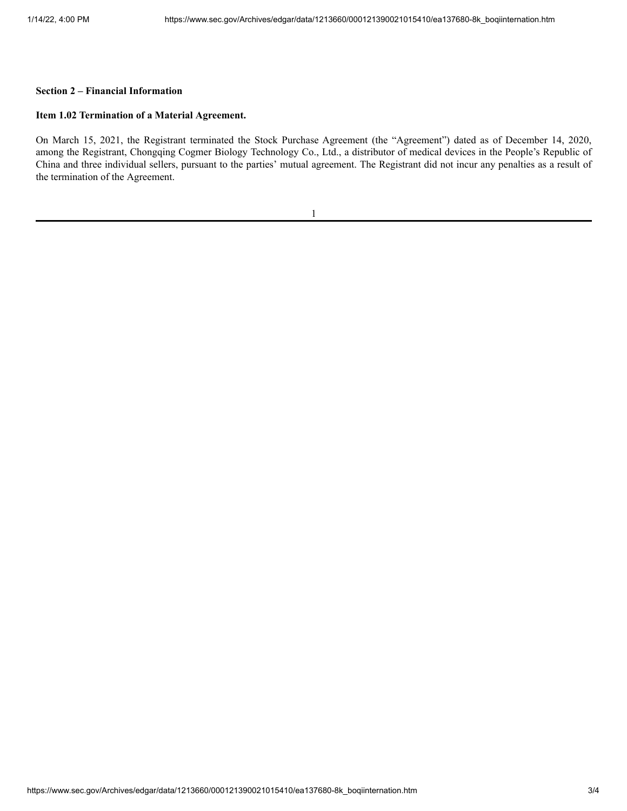### **Section 2 – Financial Information**

#### **Item 1.02 Termination of a Material Agreement.**

On March 15, 2021, the Registrant terminated the Stock Purchase Agreement (the "Agreement") dated as of December 14, 2020, among the Registrant, Chongqing Cogmer Biology Technology Co., Ltd., a distributor of medical devices in the People's Republic of China and three individual sellers, pursuant to the parties' mutual agreement. The Registrant did not incur any penalties as a result of the termination of the Agreement.

| ۹ |
|---|
|   |
|   |